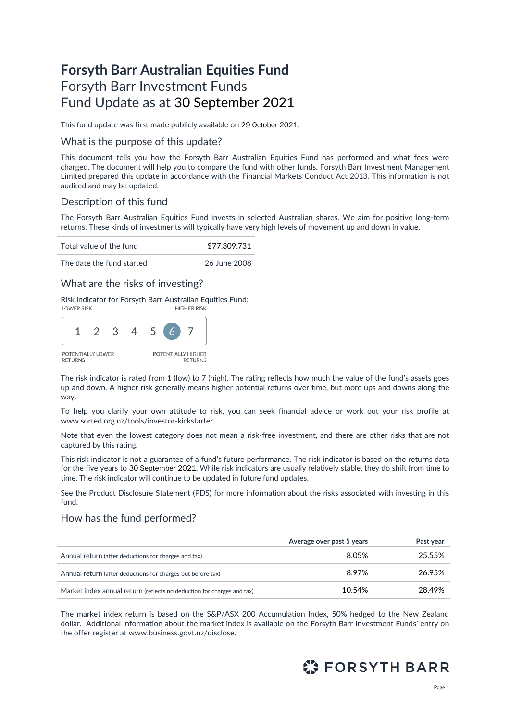# **Forsyth Barr Australian Equities Fund** Forsyth Barr Investment Funds Fund Update as at 30 September 2021

This fund update was first made publicly available on 29 October 2021.

### What is the purpose of this update?

This document tells you how the Forsyth Barr Australian Equities Fund has performed and what fees were charged. The document will help you to compare the fund with other funds. Forsyth Barr Investment Management Limited prepared this update in accordance with the Financial Markets Conduct Act 2013. This information is not audited and may be updated.

# Description of this fund

The Forsyth Barr Australian Equities Fund invests in selected Australian shares. We aim for positive long-term returns. These kinds of investments will typically have very high levels of movement up and down in value.

Total value of the fund  $$77,309,731$ 

The date the fund started 26 June 2008

### What are the risks of investing?

Risk indicator for Forsyth Barr Australian Equities Fund:<br>HIGHER RISK



The risk indicator is rated from 1 (low) to 7 (high). The rating reflects how much the value of the fund's assets goes up and down. A higher risk generally means higher potential returns over time, but more ups and downs along the way.

To help you clarify your own attitude to risk, you can seek financial advice or work out your risk profile at [www.sorted.org.nz/tools/investor-kickstarter.](http://www.sorted.org.nz/tools/investor-kickstarter) 

Note that even the lowest category does not mean a risk-free investment, and there are other risks that are not captured by this rating.

This risk indicator is not a guarantee of a fund's future performance. The risk indicator is based on the returns data for the five years to 30 September 2021. While risk indicators are usually relatively stable, they do shift from time to time. The risk indicator will continue to be updated in future fund updates.

See the Product Disclosure Statement (PDS) for more information about the risks associated with investing in this fund.

### How has the fund performed?

|                                                                        | Average over past 5 years | Past year |
|------------------------------------------------------------------------|---------------------------|-----------|
| Annual return (after deductions for charges and tax)                   | 8.05%                     | 25.55%    |
| Annual return (after deductions for charges but before tax)            | 8.97%                     | 26.95%    |
| Market index annual return (reflects no deduction for charges and tax) | 10.54%                    | 28.49%    |

The market index return is based on the S&P/ASX 200 Accumulation Index, 50% hedged to the New Zealand dollar. Additional information about the market index is available on the Forsyth Barr Investment Funds' entry on the offer register at [www.business.govt.nz/disclose.](http://www.business.govt.nz/disclose)

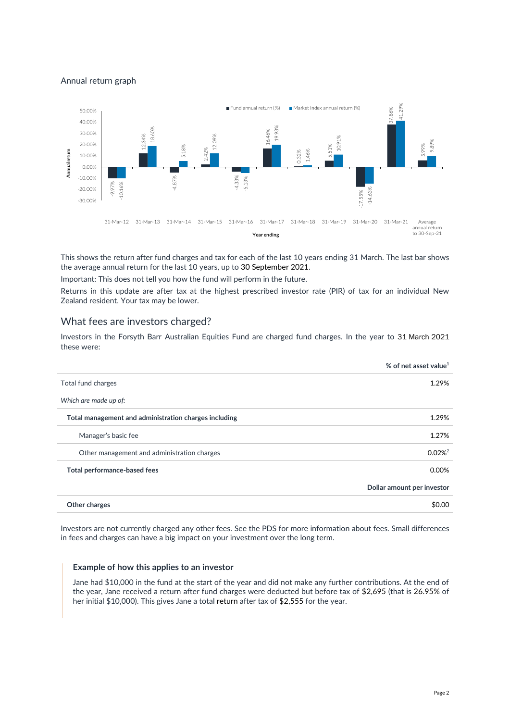Annual return graph



This shows the return after fund charges and tax for each of the last 10 years ending 31 March. The last bar shows the average annual return for the last 10 years, up to 30 September 2021.

Important: This does not tell you how the fund will perform in the future.

Returns in this update are after tax at the highest prescribed investor rate (PIR) of tax for an individual New Zealand resident. Your tax may be lower.

### What fees are investors charged?

Investors in the Forsyth Barr Australian Equities Fund are charged fund charges. In the year to 31 March 2021 these were:

|                                                       | % of net asset value <sup>1</sup> |
|-------------------------------------------------------|-----------------------------------|
| Total fund charges                                    | 1.29%                             |
| Which are made up of:                                 |                                   |
| Total management and administration charges including | 1.29%                             |
| Manager's basic fee                                   | 1.27%                             |
| Other management and administration charges           | $0.02\%$ <sup>2</sup>             |
| Total performance-based fees                          | 0.00%                             |
|                                                       | Dollar amount per investor        |
| Other charges                                         | \$0.00                            |

Investors are not currently charged any other fees. See the PDS for more information about fees. Small differences in fees and charges can have a big impact on your investment over the long term.

#### **Example of how this applies to an investor**

Jane had \$10,000 in the fund at the start of the year and did not make any further contributions. At the end of the year, Jane received a return after fund charges were deducted but before tax of \$2,695 (that is 26.95% of her initial \$10,000). This gives Jane a total return after tax of \$2,555 for the year.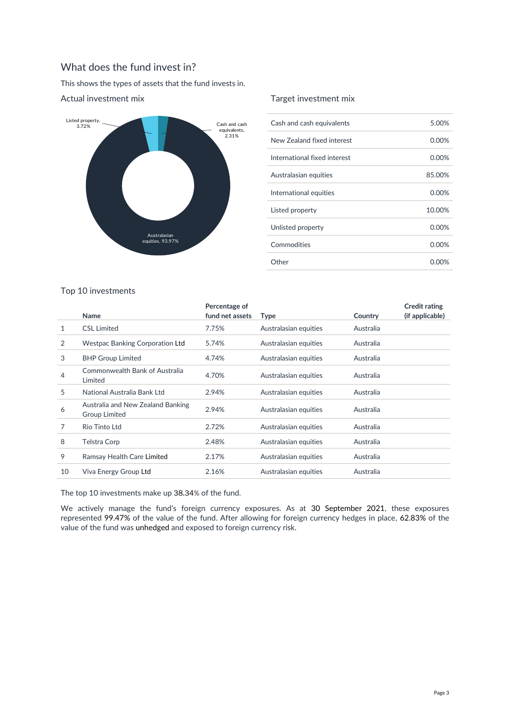# What does the fund invest in?

This shows the types of assets that the fund invests in.



### Actual investment mix

### Target investment mix

| Cash and cash equivalents    | 5.00%  |
|------------------------------|--------|
| New Zealand fixed interest   | 0.00%  |
| International fixed interest | 0.00%  |
| Australasian equities        | 85.00% |
| International equities       | 0.00%  |
| Listed property              | 10.00% |
| Unlisted property            | 0.00%  |
| Commodities                  | 0.00%  |
| Other                        | 0.00%  |

### Top 10 investments

|    | Name                                                      | Percentage of<br>fund net assets | <b>Type</b>           | Country   | <b>Credit rating</b><br>(if applicable) |
|----|-----------------------------------------------------------|----------------------------------|-----------------------|-----------|-----------------------------------------|
| 1  | <b>CSL Limited</b>                                        | 7.75%                            | Australasian equities | Australia |                                         |
| 2  | <b>Westpac Banking Corporation Ltd</b>                    | 5.74%                            | Australasian equities | Australia |                                         |
| 3  | <b>BHP Group Limited</b>                                  | 4.74%                            | Australasian equities | Australia |                                         |
| 4  | Commonwealth Bank of Australia<br>Limited                 | 4.70%                            | Australasian equities | Australia |                                         |
| 5  | National Australia Bank Ltd                               | 2.94%                            | Australasian equities | Australia |                                         |
| 6  | Australia and New Zealand Banking<br><b>Group Limited</b> | 2.94%                            | Australasian equities | Australia |                                         |
| 7  | Rio Tinto Ltd                                             | 2.72%                            | Australasian equities | Australia |                                         |
| 8  | Telstra Corp                                              | 2.48%                            | Australasian equities | Australia |                                         |
| 9  | Ramsay Health Care Limited                                | 2.17%                            | Australasian equities | Australia |                                         |
| 10 | Viva Energy Group Ltd                                     | 2.16%                            | Australasian equities | Australia |                                         |
|    |                                                           |                                  |                       |           |                                         |

The top 10 investments make up 38.34% of the fund.

We actively manage the fund's foreign currency exposures. As at 30 September 2021, these exposures represented 99.47% of the value of the fund. After allowing for foreign currency hedges in place, 62.83% of the value of the fund was unhedged and exposed to foreign currency risk.